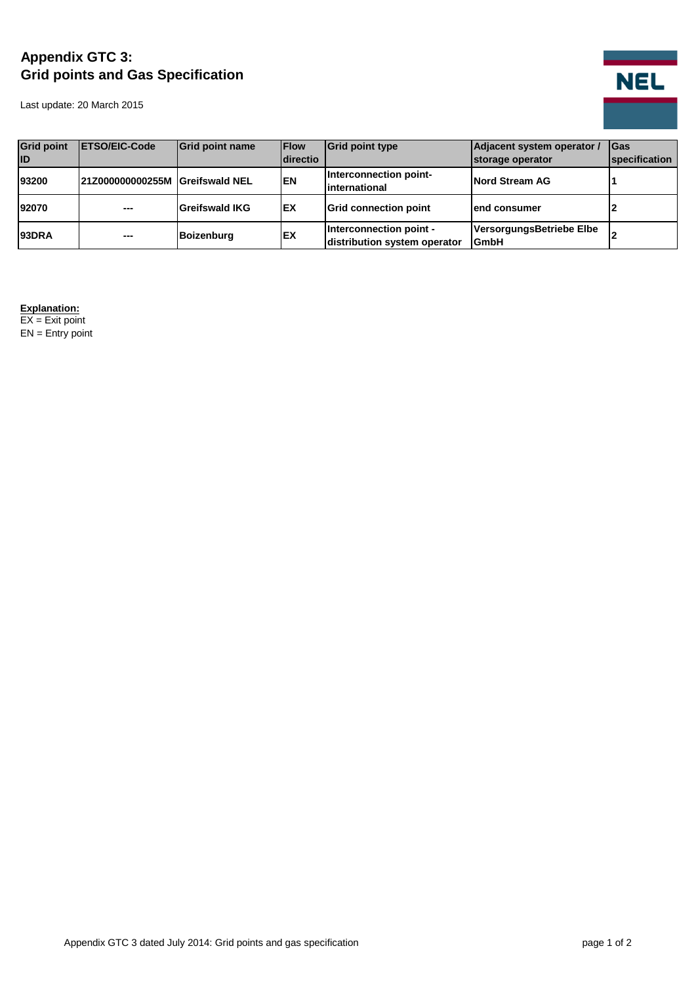## **Appendix GTC 3: Grid points and Gas Specification**

Last update: 20 March 2015



| <b>Grid point</b> | <b>IETSO/EIC-Code</b>           | <b>Grid point name</b> | <b>IFlow</b>    | <b>Grid point type</b>                                  | Adjacent system operator /       | <b>IGas</b>          |
|-------------------|---------------------------------|------------------------|-----------------|---------------------------------------------------------|----------------------------------|----------------------|
| <b>ID</b>         |                                 |                        | <b>directio</b> |                                                         | storage operator                 | <b>specification</b> |
| 93200             | 21Z000000000255M Greifswald NEL |                        | <b>EN</b>       | Interconnection point-<br>linternational                | Nord Stream AG                   |                      |
| 92070             | ---                             | Greifswald IKG         | <b>IEX</b>      | <b>Grid connection point</b>                            | end consumer                     |                      |
| <b>93DRA</b>      | $- - -$                         | <b>Boizenburg</b>      | <b>IEX</b>      | Interconnection point -<br>distribution system operator | VersorgungsBetriebe Elbe<br>GmbH |                      |

## **Explanation:**

EX = Exit point  $EN =$  Entry point